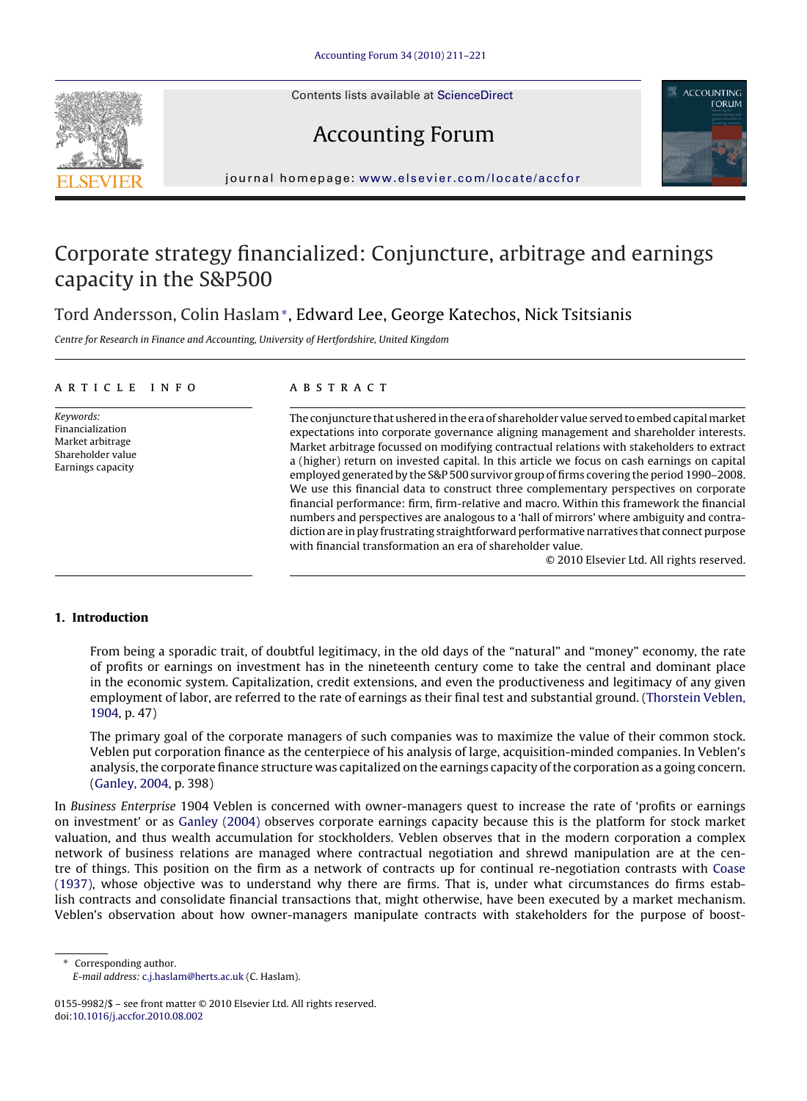Contents lists available at [ScienceDirect](http://www.sciencedirect.com/science/journal/01559982)





journal homepage: [www.elsevier.com/locate/accfor](http://www.elsevier.com/locate/accfor)

# Corporate strategy financialized: Conjuncture, arbitrage and earnings capacity in the S&P500

Tord Andersson, Colin Haslam∗, Edward Lee, George Katechos, Nick Tsitsianis

Centre for Research in Finance and Accounting, University of Hertfordshire, United Kingdom

### article info

Keywords: Financialization Market arbitrage Shareholder value Earnings capacity

## ABSTRACT

The conjuncture that ushered in the era of shareholder value served to embed capital market expectations into corporate governance aligning management and shareholder interests. Market arbitrage focussed on modifying contractual relations with stakeholders to extract a (higher) return on invested capital. In this article we focus on cash earnings on capital employed generated by the S&P 500 survivor group of firms covering the period 1990–2008. We use this financial data to construct three complementary perspectives on corporate financial performance: firm, firm-relative and macro. Within this framework the financial numbers and perspectives are analogous to a 'hall of mirrors' where ambiguity and contradiction are in play frustrating straightforward performative narratives that connect purpose with financial transformation an era of shareholder value.

© 2010 Elsevier Ltd. All rights reserved.

# **1. Introduction**

From being a sporadic trait, of doubtful legitimacy, in the old days of the "natural" and "money" economy, the rate of profits or earnings on investment has in the nineteenth century come to take the central and dominant place in the economic system. Capitalization, credit extensions, and even the productiveness and legitimacy of any given employment of labor, are referred to the rate of earnings as their final test and substantial ground. [\(Thorstein Veblen,](#page--1-0) [1904, p](#page--1-0). 47)

The primary goal of the corporate managers of such companies was to maximize the value of their common stock. Veblen put corporation finance as the centerpiece of his analysis of large, acquisition-minded companies. In Veblen's analysis, the corporate finance structure was capitalized on the earnings capacity of the corporation as a going concern. ([Ganley, 2004, p](#page--1-0). 398)

In Business Enterprise 1904 Veblen is concerned with owner-managers quest to increase the rate of 'profits or earnings on investment' or as [Ganley \(2004\)](#page--1-0) observes corporate earnings capacity because this is the platform for stock market valuation, and thus wealth accumulation for stockholders. Veblen observes that in the modern corporation a complex network of business relations are managed where contractual negotiation and shrewd manipulation are at the centre of things. This position on the firm as a network of contracts up for continual re-negotiation contrasts with [Coase](#page--1-0) [\(1937\),](#page--1-0) whose objective was to understand why there are firms. That is, under what circumstances do firms establish contracts and consolidate financial transactions that, might otherwise, have been executed by a market mechanism. Veblen's observation about how owner-managers manipulate contracts with stakeholders for the purpose of boost-

∗ Corresponding author. E-mail address: [c.j.haslam@herts.ac.uk](mailto:c.j.haslam@herts.ac.uk) (C. Haslam).

<sup>0155-9982/\$ –</sup> see front matter © 2010 Elsevier Ltd. All rights reserved. doi:[10.1016/j.accfor.2010.08.002](dx.doi.org/10.1016/j.accfor.2010.08.002)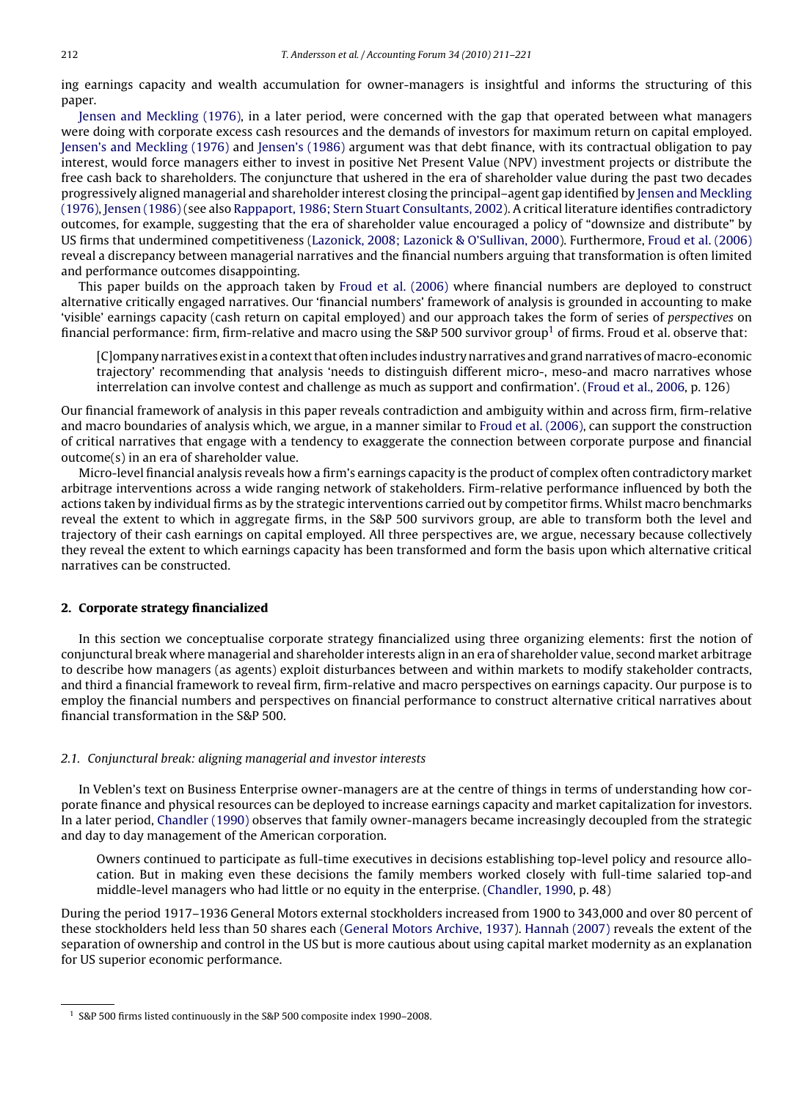ing earnings capacity and wealth accumulation for owner-managers is insightful and informs the structuring of this paper.

[Jensen and Meckling \(1976\),](#page--1-0) in a later period, were concerned with the gap that operated between what managers were doing with corporate excess cash resources and the demands of investors for maximum return on capital employed. [Jensen's and Meckling \(1976\)](#page--1-0) and [Jensen's \(1986\)](#page--1-0) argument was that debt finance, with its contractual obligation to pay interest, would force managers either to invest in positive Net Present Value (NPV) investment projects or distribute the free cash back to shareholders. The conjuncture that ushered in the era of shareholder value during the past two decades progressively aligned managerial and shareholder interest closing the principal–agent gap identified by [Jensen and Meckling](#page--1-0) [\(1976\),](#page--1-0) [Jensen \(1986\)](#page--1-0) (see also [Rappaport, 1986; Stern Stuart Consultants, 2002\).](#page--1-0) A critical literature identifies contradictory outcomes, for example, suggesting that the era of shareholder value encouraged a policy of "downsize and distribute" by US firms that undermined competitiveness ([Lazonick, 2008; Lazonick & O'Sullivan, 2000\).](#page--1-0) Furthermore, [Froud et al. \(2006\)](#page--1-0) reveal a discrepancy between managerial narratives and the financial numbers arguing that transformation is often limited and performance outcomes disappointing.

This paper builds on the approach taken by [Froud et al. \(2006\)](#page--1-0) where financial numbers are deployed to construct alternative critically engaged narratives. Our 'financial numbers' framework of analysis is grounded in accounting to make 'visible' earnings capacity (cash return on capital employed) and our approach takes the form of series of perspectives on financial performance: firm, firm-relative and macro using the S&P 500 survivor group<sup>1</sup> of firms. Froud et al. observe that:

[C]ompany narratives exist in a context that often includes industry narratives and grand narratives ofmacro-economic trajectory' recommending that analysis 'needs to distinguish different micro-, meso-and macro narratives whose interrelation can involve contest and challenge as much as support and confirmation'. [\(Froud et al., 2006, p](#page--1-0). 126)

Our financial framework of analysis in this paper reveals contradiction and ambiguity within and across firm, firm-relative and macro boundaries of analysis which, we argue, in a manner similar to [Froud et al. \(2006\), c](#page--1-0)an support the construction of critical narratives that engage with a tendency to exaggerate the connection between corporate purpose and financial outcome(s) in an era of shareholder value.

Micro-level financial analysis reveals how a firm's earnings capacity is the product of complex often contradictory market arbitrage interventions across a wide ranging network of stakeholders. Firm-relative performance influenced by both the actions taken by individual firms as by the strategic interventions carried out by competitor firms. Whilst macro benchmarks reveal the extent to which in aggregate firms, in the S&P 500 survivors group, are able to transform both the level and trajectory of their cash earnings on capital employed. All three perspectives are, we argue, necessary because collectively they reveal the extent to which earnings capacity has been transformed and form the basis upon which alternative critical narratives can be constructed.

### **2. Corporate strategy financialized**

In this section we conceptualise corporate strategy financialized using three organizing elements: first the notion of conjunctural break where managerial and shareholder interests align in an era of shareholder value, second market arbitrage to describe how managers (as agents) exploit disturbances between and within markets to modify stakeholder contracts, and third a financial framework to reveal firm, firm-relative and macro perspectives on earnings capacity. Our purpose is to employ the financial numbers and perspectives on financial performance to construct alternative critical narratives about financial transformation in the S&P 500.

### 2.1. Conjunctural break: aligning managerial and investor interests

In Veblen's text on Business Enterprise owner-managers are at the centre of things in terms of understanding how corporate finance and physical resources can be deployed to increase earnings capacity and market capitalization for investors. In a later period, [Chandler \(1990\)](#page--1-0) observes that family owner-managers became increasingly decoupled from the strategic and day to day management of the American corporation.

Owners continued to participate as full-time executives in decisions establishing top-level policy and resource allocation. But in making even these decisions the family members worked closely with full-time salaried top-and middle-level managers who had little or no equity in the enterprise. [\(Chandler, 1990, p](#page--1-0). 48)

During the period 1917–1936 General Motors external stockholders increased from 1900 to 343,000 and over 80 percent of these stockholders held less than 50 shares each [\(General Motors Archive, 1937\).](#page--1-0) [Hannah \(2007\)](#page--1-0) reveals the extent of the separation of ownership and control in the US but is more cautious about using capital market modernity as an explanation for US superior economic performance.

<sup>1</sup> S&P 500 firms listed continuously in the S&P 500 composite index 1990–2008.